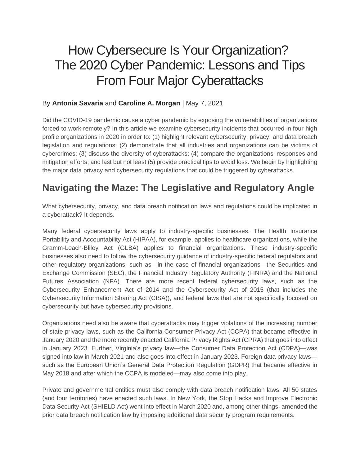# How Cybersecure Is Your Organization? The 2020 Cyber Pandemic: Lessons and Tips From Four Major Cyberattacks

#### By **Antonia Savaria** and **Caroline A. Morgan** | May 7, 2021

Did the COVID-19 pandemic cause a cyber pandemic by exposing the vulnerabilities of organizations forced to work remotely? In this article we examine cybersecurity incidents that occurred in four high profile organizations in 2020 in order to: (1) highlight relevant cybersecurity, privacy, and data breach legislation and regulations; (2) demonstrate that all industries and organizations can be victims of cybercrimes; (3) discuss the diversity of cyberattacks; (4) compare the organizations' responses and mitigation efforts; and last but not least (5) provide practical tips to avoid loss. We begin by highlighting the major data privacy and cybersecurity regulations that could be triggered by cyberattacks.

#### **Navigating the Maze: The Legislative and Regulatory Angle**

What cybersecurity, privacy, and data breach notification laws and regulations could be implicated in a cyberattack? It depends.

Many federal cybersecurity laws apply to industry-specific businesses. The Health Insurance Portability and Accountability Act (HIPAA), for example, applies to healthcare organizations, while the Gramm-Leach-Bliley Act (GLBA) applies to financial organizations. These industry-specific businesses also need to follow the cybersecurity guidance of industry-specific federal regulators and other regulatory organizations, such as—in the case of financial organizations—the Securities and Exchange Commission (SEC), the Financial Industry Regulatory Authority (FINRA) and the National Futures Association (NFA). There are more recent federal cybersecurity laws, such as the Cybersecurity Enhancement Act of 2014 and the Cybersecurity Act of 2015 (that includes the Cybersecurity Information Sharing Act (CISA)), and federal laws that are not specifically focused on cybersecurity but have cybersecurity provisions.

Organizations need also be aware that cyberattacks may trigger violations of the increasing number of state privacy laws, such as the California Consumer Privacy Act (CCPA) that became effective in January 2020 and the more recently enacted California Privacy Rights Act (CPRA) that goes into effect in January 2023. Further, Virginia's privacy law—the Consumer Data Protection Act (CDPA)—was signed into law in March 2021 and also goes into effect in January 2023. Foreign data privacy laws such as the European Union's General Data Protection Regulation (GDPR) that became effective in May 2018 and after which the CCPA is modeled—may also come into play.

Private and governmental entities must also comply with data breach notification laws. All 50 states (and four territories) have enacted such laws. In New York, the Stop Hacks and Improve Electronic Data Security Act (SHIELD Act) went into effect in March 2020 and, among other things, amended the prior data breach notification law by imposing additional data security program requirements.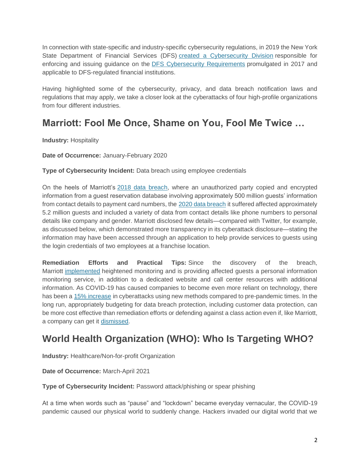In connection with state-specific and industry-specific cybersecurity regulations, in 2019 the New York State Department of Financial Services (DFS) [created a Cybersecurity Division](https://www.dfs.ny.gov/reports_and_publications/press_releases/pr1905221) responsible for enforcing and issuing guidance on the [DFS Cybersecurity Requirements](https://govt.westlaw.com/nycrr/Browse/Home/NewYork/NewYorkCodesRulesandRegulations?guid=I5be30d2007f811e79d43a037eefd0011&originationContext=documenttoc&transitionType=Default&contextData=(sc.Default)&bhcp=1) promulgated in 2017 and applicable to DFS-regulated financial institutions.

Having highlighted some of the cybersecurity, privacy, and data breach notification laws and regulations that may apply, we take a closer look at the cyberattacks of four high-profile organizations from four different industries.

#### **Marriott: Fool Me Once, Shame on You, Fool Me Twice …**

**Industry:** Hospitality

**Date of Occurrence:** January-February 2020

**Type of Cybersecurity Incident:** Data breach using employee credentials

On the heels of Marriott's [2018 data breach,](https://news.marriott.com/2018/11/marriott-announces-starwood-guest-reservation-database-security-incident/) where an unauthorized party copied and encrypted information from a guest reservation database involving approximately 500 million guests' information from contact details to payment card numbers, the [2020 data breach](https://news.marriott.com/news/2020/03/31/marriott-international-notifies-guests-of-property-system-incident) it suffered affected approximately 5.2 million guests and included a variety of data from contact details like phone numbers to personal details like company and gender. Marriott disclosed few details—compared with Twitter, for example, as discussed below, which demonstrated more transparency in its cyberattack disclosure—stating the information may have been accessed through an application to help provide services to guests using the login credentials of two employees at a franchise location.

**Remediation Efforts and Practical Tips:** Since the discovery of the breach, Marriott [implemented](https://news.marriott.com/news/2020/03/31/marriott-international-notifies-guests-of-property-system-incident) heightened monitoring and is providing affected guests a personal information monitoring service, in addition to a dedicated website and call center resources with additional information. As COVID-19 has caused companies to become even more reliant on technology, there has been a [15% increase](https://www2.deloitte.com/ch/en/pages/risk/articles/impact-covid-cybersecurity.html) in cyberattacks using new methods compared to pre-pandemic times. In the long run, appropriately budgeting for data breach protection, including customer data protection, can be more cost effective than remediation efforts or defending against a class action even if, like Marriott, a company can get it [dismissed.](https://www.docketalarm.com/cases/Maryland_District_Court/8--20-cv-00867/Springmeyer_v._Marriott_International_Inc/44/)

### **World Health Organization (WHO): Who Is Targeting WHO?**

**Industry:** Healthcare/Non-for-profit Organization

**Date of Occurrence:** March-April 2021

**Type of Cybersecurity Incident:** Password attack/phishing or spear phishing

At a time when words such as "pause" and "lockdown" became everyday vernacular, the COVID-19 pandemic caused our physical world to suddenly change. Hackers invaded our digital world that we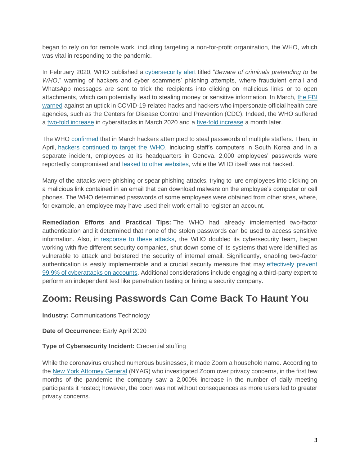began to rely on for remote work, including targeting a non-for-profit organization, the WHO, which was vital in responding to the pandemic.

In February 2020, WHO published a [cybersecurity alert](https://www.who.int/about/communications/cyber-security) titled "*Beware of criminals pretending to be WHO*," warning of hackers and cyber scammers' phishing attempts, where fraudulent email and WhatsApp messages are sent to trick the recipients into clicking on malicious links or to open attachments, which can potentially lead to stealing money or sensitive information. In March, [the FBI](https://www.ic3.gov/Media/Y2020/PSA200320)  [warned](https://www.ic3.gov/Media/Y2020/PSA200320) against an uptick in COVID-19-related hacks and hackers who impersonate official health care agencies, such as the Centers for Disease Control and Prevention (CDC). Indeed, the WHO suffered a two-fold [increase](https://www.reuters.com/article/us-health-coronavirus-who-hack-exclusive/exclusive-elite-hackers-target-who-as-coronavirus-cyberattacks-spike-idUSKBN21A3BN) in cyberattacks in March 2020 and a [five-fold increase](https://www.who.int/news/item/23-04-2020-who-reports-fivefold-increase-in-cyber-attacks-urges-vigilance) a month later.

The WHO [confirmed](https://www.reuters.com/article/us-health-coronavirus-who-hack-exclusive/exclusive-elite-hackers-target-who-as-coronavirus-cyberattacks-spike-idUSKBN21A3BN) that in March hackers attempted to steal passwords of multiple staffers. Then, in April, [hackers continued to target the WHO,](https://www.bloomberg.com/news/articles/2020-04-21/top-officials-at-world-health-organization-targeted-for-hacks) including staff's computers in South Korea and in a separate incident, employees at its headquarters in Geneva. 2,000 employees' passwords were reportedly compromised and [leaked to other websites,](https://www.bloomberg.com/news/articles/2020-04-21/top-officials-at-world-health-organization-targeted-for-hacks) while the WHO itself was not hacked.

Many of the attacks were phishing or spear phishing attacks, trying to lure employees into clicking on a malicious link contained in an email that can download malware on the employee's computer or cell phones. The WHO determined passwords of some employees were obtained from other sites, where, for example, an employee may have used their work email to register an account.

**Remediation Efforts and Practical Tips:** The WHO had already implemented two-factor authentication and it determined that none of the stolen passwords can be used to access sensitive information. Also, in [response to these attacks,](https://www.bloomberg.com/news/articles/2020-04-21/top-officials-at-world-health-organization-targeted-for-hacks) the WHO doubled its cybersecurity team, began working with five different security companies, shut down some of its systems that were identified as vulnerable to attack and bolstered the security of internal email. Significantly, enabling two-factor authentication is easily implementable and a crucial security measure that may [effectively prevent](https://www.microsoft.com/security/blog/2019/08/20/one-simple-action-you-can-take-to-prevent-99-9-percent-of-account-attacks/?ranMID=24542&ranEAID=je6NUbpObpQ&ranSiteID=je6NUbpObpQ-LN6pmRztrDSkYxDQZX.qrw&epi=je6NUbpObpQ-LN6pmRztrDSkYxDQZX.qrw&irgwc=1&OCID=AID2000142_aff_7593_1243925&tduid=%28ir__9wotz29fwkkfqlz02jy9q0nuau2xpatwlryv09w300%29%287593%29%281243925%29%28je6NUbpObpQ-LN6pmRztrDSkYxDQZX.qrw%29%28%29&irclickid=_9wotz29fwkkfqlz02jy9q0nuau2xpatwlryv09w300)  [99.9% of cyberattacks on accounts.](https://www.microsoft.com/security/blog/2019/08/20/one-simple-action-you-can-take-to-prevent-99-9-percent-of-account-attacks/?ranMID=24542&ranEAID=je6NUbpObpQ&ranSiteID=je6NUbpObpQ-LN6pmRztrDSkYxDQZX.qrw&epi=je6NUbpObpQ-LN6pmRztrDSkYxDQZX.qrw&irgwc=1&OCID=AID2000142_aff_7593_1243925&tduid=%28ir__9wotz29fwkkfqlz02jy9q0nuau2xpatwlryv09w300%29%287593%29%281243925%29%28je6NUbpObpQ-LN6pmRztrDSkYxDQZX.qrw%29%28%29&irclickid=_9wotz29fwkkfqlz02jy9q0nuau2xpatwlryv09w300) Additional considerations include engaging a third-party expert to perform an independent test like penetration testing or hiring a security company.

#### **Zoom: Reusing Passwords Can Come Back To Haunt You**

**Industry:** Communications Technology

**Date of Occurrence:** Early April 2020

#### **Type of Cybersecurity Incident:** Credential stuffing

While the coronavirus crushed numerous businesses, it made Zoom a household name. According to the [New York Attorney General](https://ag.ny.gov/sites/default/files/nyag_zoom_letter_agreement_final_counter-signed.pdf) (NYAG) who investigated Zoom over privacy concerns, in the first few months of the pandemic the company saw a 2,000% increase in the number of daily meeting participants it hosted; however, the boon was not without consequences as more users led to greater privacy concerns.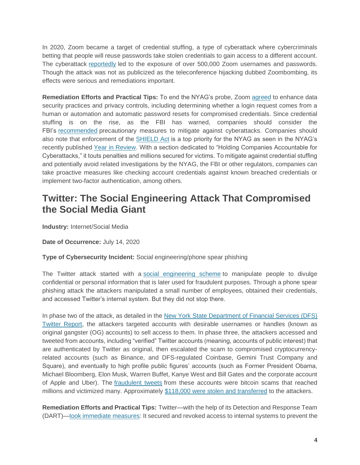In 2020, Zoom became a target of credential stuffing, a type of cyberattack where cybercriminals betting that people will reuse passwords take stolen credentials to gain access to a different account. The cyberattack [reportedly](https://www.forbes.com/sites/daveywinder/2020/04/28/zoom-gets-stuffed-heres-how-hackers-got-hold-of-500000-passwords/?sh=5650ebb55cdc) led to the exposure of over 500,000 Zoom usernames and passwords. Though the attack was not as publicized as the teleconference hijacking dubbed Zoombombing, its effects were serious and remediations important.

**Remediation Efforts and Practical Tips:** To end the NYAG's probe, Zoom [agreed](https://ag.ny.gov/sites/default/files/nyag_zoom_letter_agreement_final_counter-signed.pdf) to enhance data security practices and privacy controls, including determining whether a login request comes from a human or automation and automatic password resets for compromised credentials. Since credential stuffing is on the rise, as the FBI has warned, companies should consider the FBI's [recommended](https://www.ic3.gov/media/news/2020/200929-1.pdf) precautionary measures to mitigate against cyberattacks. Companies should also note that enforcement of the [SHIELD Act](https://legislation.nysenate.gov/pdf/bills/2019/S5575B) is a top priority for the NYAG as seen in the NYAG's recently published [Year in Review.](https://annualreport.ag.ny.gov/) With a section dedicated to "Holding Companies Accountable for Cyberattacks," it touts penalties and millions secured for victims. To mitigate against credential stuffing and potentially avoid related investigations by the NYAG, the FBI or other regulators, companies can take proactive measures like checking account credentials against known breached credentials or implement two-factor authentication, among others.

#### **Twitter: The Social Engineering Attack That Compromised the Social Media Giant**

**Industry:** Internet/Social Media

**Date of Occurrence:** July 14, 2020

**Type of Cybersecurity Incident:** Social engineering/phone spear phishing

The Twitter attack started with a [social engineering scheme](https://blog.twitter.com/en_us/topics/company/2020/an-update-on-our-security-incident.html) to manipulate people to divulge confidential or personal information that is later used for fraudulent purposes. Through a phone spear phishing attack the attackers manipulated a small number of employees, obtained their credentials, and accessed Twitter's internal system. But they did not stop there.

In phase two of the attack, as detailed in the [New York State Department of Financial Services \(DFS\)](https://www.dfs.ny.gov/Twitter_Report)  [Twitter Report,](https://www.dfs.ny.gov/Twitter_Report) the attackers targeted accounts with desirable usernames or handles (known as original gangster (OG) accounts) to sell access to them. In phase three, the attackers accessed and tweeted from accounts, including "verified" Twitter accounts (meaning, accounts of public interest) that are authenticated by Twitter as original, then escalated the scam to compromised cryptocurrencyrelated accounts (such as Binance, and DFS-regulated Coinbase, Gemini Trust Company and Square), and eventually to high profile public figures' accounts (such as Former President Obama, Michael Bloomberg, Elon Musk, Warren Buffet, Kanye West and Bill Gates and the corporate account of Apple and Uber). The [fraudulent tweets](https://www.bbc.com/news/technology-53445090) from these accounts were bitcoin scams that reached millions and victimized many. Approximately [\\$118,000 were stolen and transferred](https://www.nytimes.com/2020/07/15/technology/twitter-hack-bill-gates-elon-musk.html) to the attackers.

**Remediation Efforts and Practical Tips:** Twitter—with the help of its Detection and Response Team (DART)[—took immediate measures:](https://www.wired.com/story/inside-twitter-hack-election-plan/) It secured and revoked access to internal systems to prevent the